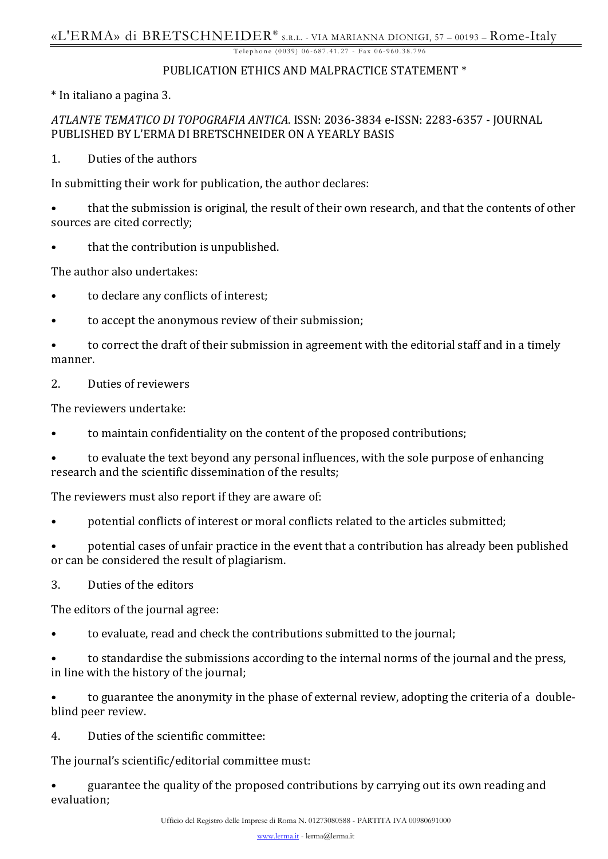#### PUBLICATION ETHICS AND MALPRACTICE STATEMENT \*

\* In italiano a pagina 3.

## *ATLANTE TEMATICO DI TOPOGRAFIA ANTICA*. ISSN: 2036-3834 e-ISSN: 2283-6357 - JOURNAL PUBLISHED BY L'ERMA DI BRETSCHNEIDER ON A YEARLY BASIS

1. Duties of the authors

In submitting their work for publication, the author declares:

• that the submission is original, the result of their own research, and that the contents of other sources are cited correctly;

that the contribution is unpublished.

The author also undertakes:

- to declare any conflicts of interest;
- to accept the anonymous review of their submission;

• to correct the draft of their submission in agreement with the editorial staff and in a timely manner.

2. Duties of reviewers

The reviewers undertake:

- to maintain confidentiality on the content of the proposed contributions;
- to evaluate the text beyond any personal influences, with the sole purpose of enhancing research and the scientific dissemination of the results;

The reviewers must also report if they are aware of:

• potential conflicts of interest or moral conflicts related to the articles submitted;

• potential cases of unfair practice in the event that a contribution has already been published or can be considered the result of plagiarism.

3. Duties of the editors

The editors of the journal agree:

- to evaluate, read and check the contributions submitted to the journal;
- to standardise the submissions according to the internal norms of the journal and the press, in line with the history of the journal;

• to guarantee the anonymity in the phase of external review, adopting the criteria of a doubleblind peer review.

4. Duties of the scientific committee:

The journal's scientific/editorial committee must:

• guarantee the quality of the proposed contributions by carrying out its own reading and evaluation;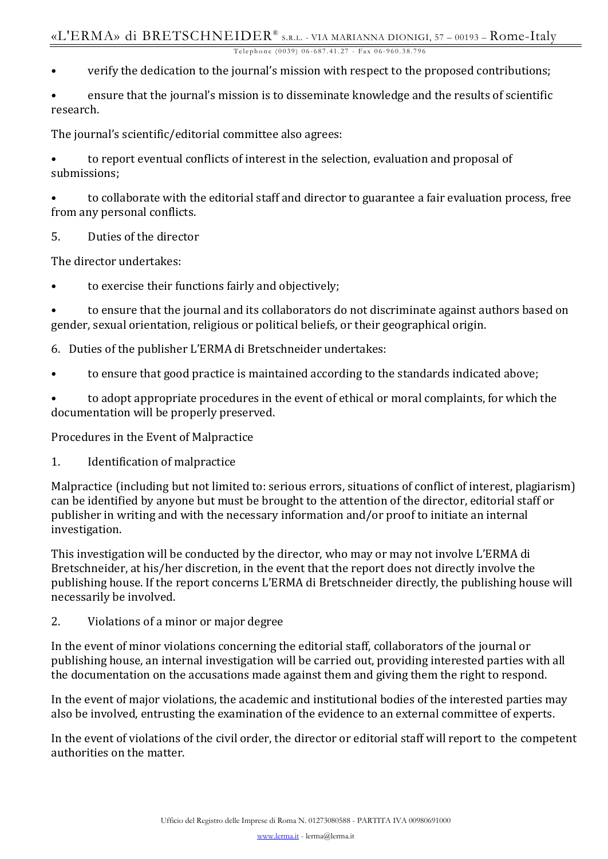- verify the dedication to the journal's mission with respect to the proposed contributions;
- ensure that the journal's mission is to disseminate knowledge and the results of scientific research.

The journal's scientific/editorial committee also agrees:

• to report eventual conflicts of interest in the selection, evaluation and proposal of submissions;

• to collaborate with the editorial staff and director to guarantee a fair evaluation process, free from any personal conflicts.

5. Duties of the director

The director undertakes:

• to exercise their functions fairly and objectively;

• to ensure that the journal and its collaborators do not discriminate against authors based on gender, sexual orientation, religious or political beliefs, or their geographical origin.

- 6. Duties of the publisher L'ERMA di Bretschneider undertakes:
- to ensure that good practice is maintained according to the standards indicated above;

• to adopt appropriate procedures in the event of ethical or moral complaints, for which the documentation will be properly preserved.

Procedures in the Event of Malpractice

1. Identification of malpractice

Malpractice (including but not limited to: serious errors, situations of conflict of interest, plagiarism) can be identified by anyone but must be brought to the attention of the director, editorial staff or publisher in writing and with the necessary information and/or proof to initiate an internal investigation.

This investigation will be conducted by the director, who may or may not involve L'ERMA di Bretschneider, at his/her discretion, in the event that the report does not directly involve the publishing house. If the report concerns L'ERMA di Bretschneider directly, the publishing house will necessarily be involved.

2. Violations of a minor or major degree

In the event of minor violations concerning the editorial staff, collaborators of the journal or publishing house, an internal investigation will be carried out, providing interested parties with all the documentation on the accusations made against them and giving them the right to respond.

In the event of major violations, the academic and institutional bodies of the interested parties may also be involved, entrusting the examination of the evidence to an external committee of experts.

In the event of violations of the civil order, the director or editorial staff will report to the competent authorities on the matter.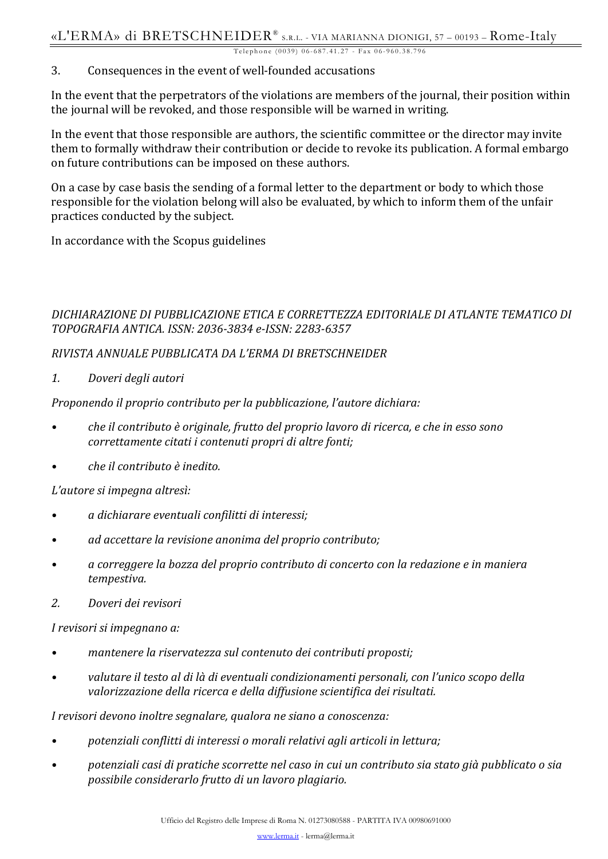#### 3. Consequences in the event of well-founded accusations

In the event that the perpetrators of the violations are members of the journal, their position within the journal will be revoked, and those responsible will be warned in writing.

In the event that those responsible are authors, the scientific committee or the director may invite them to formally withdraw their contribution or decide to revoke its publication. A formal embargo on future contributions can be imposed on these authors.

On a case by case basis the sending of a formal letter to the department or body to which those responsible for the violation belong will also be evaluated, by which to inform them of the unfair practices conducted by the subject.

In accordance with the Scopus guidelines

# *DICHIARAZIONE DI PUBBLICAZIONE ETICA E CORRETTEZZA EDITORIALE DI ATLANTE TEMATICO DI TOPOGRAFIA ANTICA. ISSN: 2036-3834 e-ISSN: 2283-6357*

## *RIVISTA ANNUALE PUBBLICATA DA L'ERMA DI BRETSCHNEIDER*

*1. Doveri degli autori*

*Proponendo il proprio contributo per la pubblicazione, l'autore dichiara:*

- *• che il contributo è originale, frutto del proprio lavoro di ricerca, e che in esso sono correttamente citati i contenuti propri di altre fonti;*
- *• che il contributo è inedito.*

*L'autore si impegna altresì:*

- *• a dichiarare eventuali confilitti di interessi;*
- *• ad accettare la revisione anonima del proprio contributo;*
- *• a correggere la bozza del proprio contributo di concerto con la redazione e in maniera tempestiva.*
- *2. Doveri dei revisori*

*I revisori si impegnano a:*

- *• mantenere la riservatezza sul contenuto dei contributi proposti;*
- *• valutare il testo al di là di eventuali condizionamenti personali, con l'unico scopo della valorizzazione della ricerca e della diffusione scientifica dei risultati.*

*I revisori devono inoltre segnalare, qualora ne siano a conoscenza:*

- *• potenziali conflitti di interessi o morali relativi agli articoli in lettura;*
- *• potenziali casi di pratiche scorrette nel caso in cui un contributo sia stato già pubblicato o sia possibile considerarlo frutto di un lavoro plagiario.*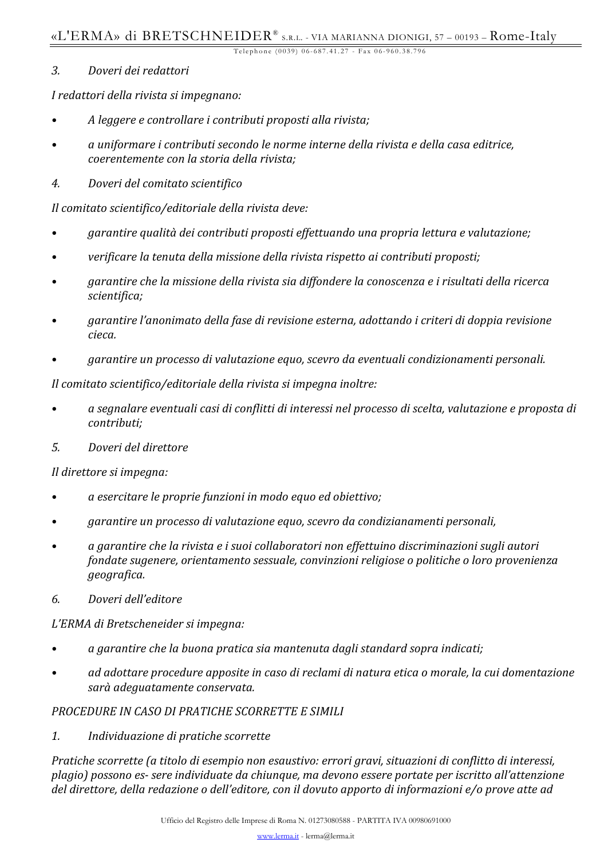### *3. Doveri dei redattori*

*I redattori della rivista si impegnano:*

- *• A leggere e controllare i contributi proposti alla rivista;*
- *• a uniformare i contributi secondo le norme interne della rivista e della casa editrice, coerentemente con la storia della rivista;*
- *4. Doveri del comitato scientifico*

*Il comitato scientifico/editoriale della rivista deve:*

- *• garantire qualità dei contributi proposti effettuando una propria lettura e valutazione;*
- *• verificare la tenuta della missione della rivista rispetto ai contributi proposti;*
- *• garantire che la missione della rivista sia diffondere la conoscenza e i risultati della ricerca scientifica;*
- *• garantire l'anonimato della fase di revisione esterna, adottando i criteri di doppia revisione cieca.*
- *• garantire un processo di valutazione equo, scevro da eventuali condizionamenti personali.*

*Il comitato scientifico/editoriale della rivista si impegna inoltre:*

- *• a segnalare eventuali casi di conflitti di interessi nel processo di scelta, valutazione e proposta di contributi;*
- *5. Doveri del direttore*

*Il direttore si impegna:*

- *• a esercitare le proprie funzioni in modo equo ed obiettivo;*
- *• garantire un processo di valutazione equo, scevro da condizianamenti personali,*
- *• a garantire che la rivista e i suoi collaboratori non effettuino discriminazioni sugli autori fondate sugenere, orientamento sessuale, convinzioni religiose o politiche o loro provenienza geografica.*
- *6. Doveri dell'editore*

*L'ERMA di Bretscheneider si impegna:*

- *• a garantire che la buona pratica sia mantenuta dagli standard sopra indicati;*
- *• ad adottare procedure apposite in caso di reclami di natura etica o morale, la cui domentazione sarà adeguatamente conservata.*

## *PROCEDURE IN CASO DI PRATICHE SCORRETTE E SIMILI*

*1. Individuazione di pratiche scorrette*

*Pratiche scorrette (a titolo di esempio non esaustivo: errori gravi, situazioni di conflitto di interessi, plagio) possono es- sere individuate da chiunque, ma devono essere portate per iscritto all'attenzione del direttore, della redazione o dell'editore, con il dovuto apporto di informazioni e/o prove atte ad*